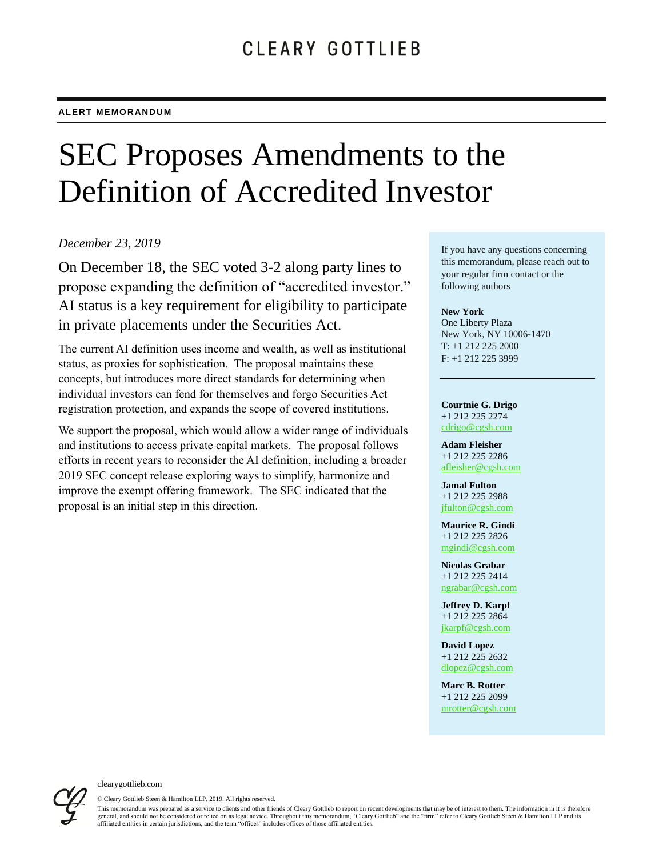# SEC Proposes Amendments to the Definition of Accredited Investor

### *December 23, 2019*

On December 18, the SEC voted 3-2 along party lines to propose expanding the definition of "accredited investor." AI status is a key requirement for eligibility to participate in private placements under the Securities Act.

The current AI definition uses income and wealth, as well as institutional status, as proxies for sophistication. The proposal maintains these concepts, but introduces more direct standards for determining when individual investors can fend for themselves and forgo Securities Act registration protection, and expands the scope of covered institutions.

We support the proposal, which would allow a wider range of individuals and institutions to access private capital markets. The proposal follows efforts in recent years to reconsider the AI definition, including a broader 2019 SEC concept release exploring ways to simplify, harmonize and improve the exempt offering framework. The SEC indicated that the proposal is an initial step in this direction.

If you have any questions concerning this memorandum, please reach out to your regular firm contact or the following authors

#### **New York**

One Liberty Plaza New York, NY 10006-1470 T: +1 212 225 2000 F: +1 212 225 3999

#### **Courtnie G. Drigo** +1 212 225 2274

[cdrigo@cgsh.com](mailto:cdrigo@cgsh.com) **Adam Fleisher** +1 212 225 2286

[afleisher@cgsh.com](mailto:afleisher@cgsh.com)

**Jamal Fulton** +1 212 225 2988 [jfulton@cgsh.com](mailto:jfulton@cgsh.com)

**Maurice R. Gindi** +1 212 225 2826 [mgindi@cgsh.com](mailto:mgindi@cgsh.com)

**Nicolas Grabar** +1 212 225 2414 [ngrabar@cgsh.com](mailto:ngrabar@cgsh.com)

**Jeffrey D. Karpf** +1 212 225 2864 [jkarpf@cgsh.com](mailto:jkarpf@cgsh.com)

**David Lopez** +1 212 225 2632 [dlopez@cgsh.com](mailto:dlopez@cgsh.com)

**Marc B. Rotter** +1 212 225 2099 [mrotter@cgsh.com](mailto:mrotter@cgsh.com)



clearygottlieb.com

© Cleary Gottlieb Steen & Hamilton LLP, 2019. All rights reserved.

This memorandum was prepared as a service to clients and other friends of Cleary Gottlieb to report on recent developments that may be of interest to them. The information in it is therefore general, and should not be considered or relied on as legal advice. Throughout this memorandum, "Cleary Gottlieb" and the "firm" refer to Cleary Gottlieb Steen & Hamilton LLP and its affiliated entities in certain jurisdictions, and the term "offices" includes offices of those affiliated entities.